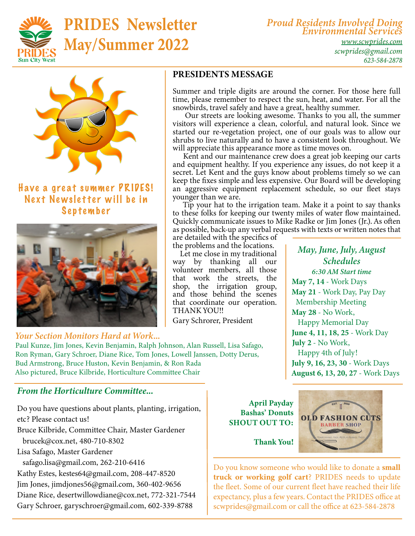

## PRIDES Newsletter May/Summer 2022

*Proud Residents Involved Doing Environmental Services*

*[www.scwprides.com](https://scwprides.com/) [scwprides@gmail.com](mailto:scwprides@gmail.com) 623-584-2878*



### Have a great summer PRIDES! Next Newsletter will be in September



#### *Your Section Monitors Hard at Work...*

Paul Kunze, Jim Jones, Kevin Benjamin, Ralph Johnson, Alan Russell, Lisa Safago, Ron Ryman, Gary Schroer, Diane Rice, Tom Jones, Lowell Janssen, Dotty Derus, Bud Armstrong, Bruce Huston, Kevin Benjamin, & Ron Rada Also pictured, Bruce Kilbride, Horticulture Committee Chair

#### *From the Horticulture Committee...*

Do you have questions about plants, planting, irrigation, etc? Please contact us! Bruce Kilbride, Committee Chair, Master Gardener brucek@cox.net, 480-710-8302 Lisa Safago, Master Gardener safago.lisa@gmail.com, 262-210-6416 Kathy Estes, kestes64@gmail.com, 208-447-8520 Jim Jones, jimdjones56@gmail.com, 360-402-9656 Diane Rice, desertwillowdiane@cox.net, 772-321-7544 Gary Schroer, garyschroer@gmail.com, 602-339-8788

April Payday Bashas' Donuts SHOUT OUT TO:



Do you know someone who would like to donate a small truck or working golf cart? PRIDES needs to update the fleet. Some of our current fleet have reached their life expectancy, plus a few years. Contact the PRIDES office at scwprides@gmail.com or call the office at 623-584-2878

PRESIDENTS MESSAGE

Summer and triple digits are around the corner. For those here full time, please remember to respect the sun, heat, and water. For all the snowbirds, travel safely and have a great, healthy summer.

 Our streets are looking awesome. Thanks to you all, the summer visitors will experience a clean, colorful, and natural look. Since we started our re-vegetation project, one of our goals was to allow our shrubs to live naturally and to have a consistent look throughout. We will appreciate this appearance more as time moves on.

 Kent and our maintenance crew does a great job keeping our carts and equipment healthy. If you experience any issues, do not keep it a secret. Let Kent and the guys know about problems timely so we can keep the fixes simple and less expensive. Our Board will be developing an aggressive equipment replacement schedule, so our fleet stays younger than we are.

 Tip your hat to the irrigation team. Make it a point to say thanks to these folks for keeping our twenty miles of water flow maintained. Quickly communicate issues to Mike Radke or Jim Jones (Jr.). As often as possible, back-up any verbal requests with texts or written notes that

are detailed with the specifics of the problems and the locations.

 Let me close in my traditional way by thanking all our volunteer members, all those that work the streets, the shop, the irrigation group, and those behind the scenes that coordinate our operation. THANK YOU!!

Gary Schrorer, President

*May, June, July, August Schedules 6:30 AM Start time* May 7, 14 - Work Days May 21 - Work Day, Pay Day Membership Meeting May 28 - No Work, Happy Memorial Day June 4, 11, 18, 25 - Work Day July 2 - No Work, Happy 4th of July! July 9, 16, 23, 30 - Work Days August 6, 13, 20, 27 - Work Days